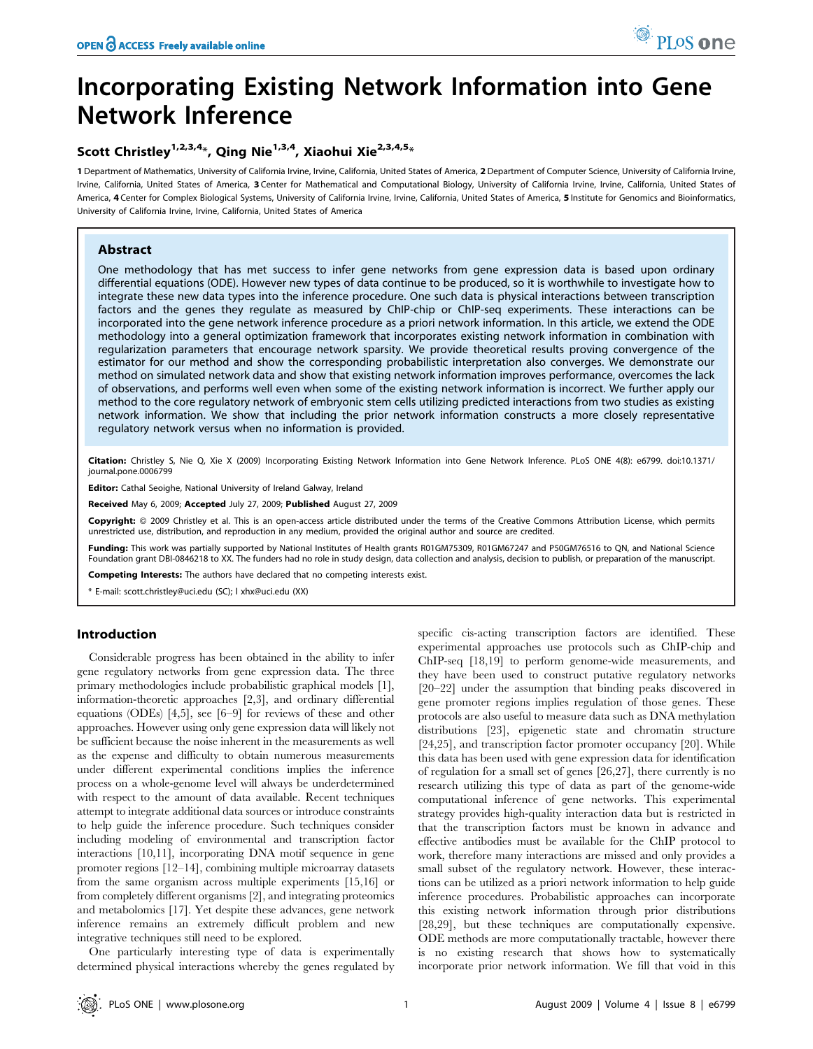# Incorporating Existing Network Information into Gene Network Inference

## Scott Christley<sup>1,2,3,4</sup>\*, Qing Nie<sup>1,3,4</sup>, Xiaohui Xie<sup>2,3,4,5</sup>\*

1 Department of Mathematics, University of California Irvine, Irvine, California, United States of America, 2 Department of Computer Science, University of California Irvine, Irvine, California, United States of America, 3 Center for Mathematical and Computational Biology, University of California Irvine, Irvine, California, United States of America, 4 Center for Complex Biological Systems, University of California Irvine, Irvine, California, United States of America, 5 Institute for Genomics and Bioinformatics, University of California Irvine, Irvine, California, United States of America

## Abstract

One methodology that has met success to infer gene networks from gene expression data is based upon ordinary differential equations (ODE). However new types of data continue to be produced, so it is worthwhile to investigate how to integrate these new data types into the inference procedure. One such data is physical interactions between transcription factors and the genes they regulate as measured by ChIP-chip or ChIP-seq experiments. These interactions can be incorporated into the gene network inference procedure as a priori network information. In this article, we extend the ODE methodology into a general optimization framework that incorporates existing network information in combination with regularization parameters that encourage network sparsity. We provide theoretical results proving convergence of the estimator for our method and show the corresponding probabilistic interpretation also converges. We demonstrate our method on simulated network data and show that existing network information improves performance, overcomes the lack of observations, and performs well even when some of the existing network information is incorrect. We further apply our method to the core regulatory network of embryonic stem cells utilizing predicted interactions from two studies as existing network information. We show that including the prior network information constructs a more closely representative regulatory network versus when no information is provided.

Citation: Christley S, Nie Q, Xie X (2009) Incorporating Existing Network Information into Gene Network Inference. PLoS ONE 4(8): e6799. doi:10.1371/ journal.pone.0006799

Editor: Cathal Seoighe, National University of Ireland Galway, Ireland

Received May 6, 2009; Accepted July 27, 2009; Published August 27, 2009

Copyright: @ 2009 Christley et al. This is an open-access article distributed under the terms of the Creative Commons Attribution License, which permits unrestricted use, distribution, and reproduction in any medium, provided the original author and source are credited.

Funding: This work was partially supported by National Institutes of Health grants R01GM75309, R01GM67247 and P50GM76516 to QN, and National Science Foundation grant DBI-0846218 to XX. The funders had no role in study design, data collection and analysis, decision to publish, or preparation of the manuscript.

Competing Interests: The authors have declared that no competing interests exist.

\* E-mail: scott.christley@uci.edu (SC); l xhx@uci.edu (XX)

## Introduction

Considerable progress has been obtained in the ability to infer gene regulatory networks from gene expression data. The three primary methodologies include probabilistic graphical models [1], information-theoretic approaches [2,3], and ordinary differential equations (ODEs) [4,5], see [6–9] for reviews of these and other approaches. However using only gene expression data will likely not be sufficient because the noise inherent in the measurements as well as the expense and difficulty to obtain numerous measurements under different experimental conditions implies the inference process on a whole-genome level will always be underdetermined with respect to the amount of data available. Recent techniques attempt to integrate additional data sources or introduce constraints to help guide the inference procedure. Such techniques consider including modeling of environmental and transcription factor interactions [10,11], incorporating DNA motif sequence in gene promoter regions [12–14], combining multiple microarray datasets from the same organism across multiple experiments [15,16] or from completely different organisms [2], and integrating proteomics and metabolomics [17]. Yet despite these advances, gene network inference remains an extremely difficult problem and new integrative techniques still need to be explored.

One particularly interesting type of data is experimentally determined physical interactions whereby the genes regulated by specific cis-acting transcription factors are identified. These experimental approaches use protocols such as ChIP-chip and ChIP-seq [18,19] to perform genome-wide measurements, and they have been used to construct putative regulatory networks [20–22] under the assumption that binding peaks discovered in gene promoter regions implies regulation of those genes. These protocols are also useful to measure data such as DNA methylation distributions [23], epigenetic state and chromatin structure [24,25], and transcription factor promoter occupancy [20]. While this data has been used with gene expression data for identification of regulation for a small set of genes [26,27], there currently is no research utilizing this type of data as part of the genome-wide computational inference of gene networks. This experimental strategy provides high-quality interaction data but is restricted in that the transcription factors must be known in advance and effective antibodies must be available for the ChIP protocol to work, therefore many interactions are missed and only provides a small subset of the regulatory network. However, these interactions can be utilized as a priori network information to help guide inference procedures. Probabilistic approaches can incorporate this existing network information through prior distributions [28,29], but these techniques are computationally expensive. ODE methods are more computationally tractable, however there is no existing research that shows how to systematically incorporate prior network information. We fill that void in this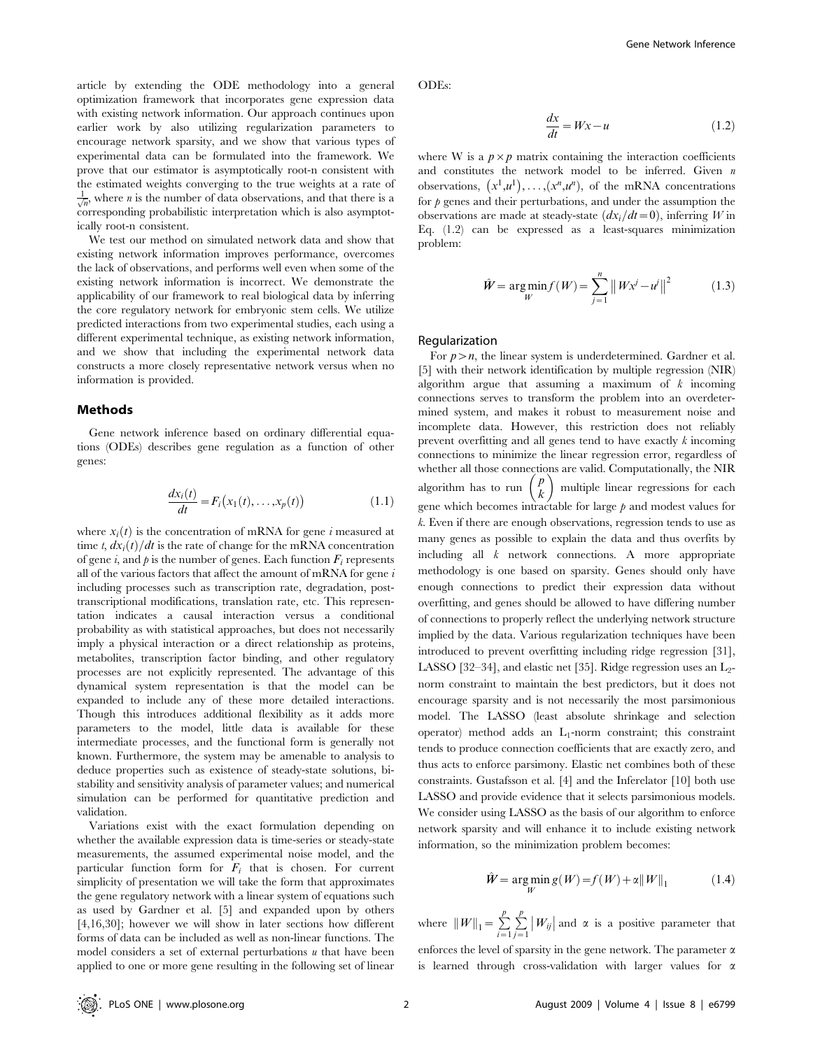article by extending the ODE methodology into a general optimization framework that incorporates gene expression data with existing network information. Our approach continues upon earlier work by also utilizing regularization parameters to encourage network sparsity, and we show that various types of experimental data can be formulated into the framework. We prove that our estimator is asymptotically root-n consistent with the estimated weights converging to the true weights at a rate of  $\frac{1}{\sqrt{n}}$ , where *n* is the number of data observations, and that there is a corresponding probabilistic interpretation which is also asymptotically root-n consistent.

We test our method on simulated network data and show that existing network information improves performance, overcomes the lack of observations, and performs well even when some of the existing network information is incorrect. We demonstrate the applicability of our framework to real biological data by inferring the core regulatory network for embryonic stem cells. We utilize predicted interactions from two experimental studies, each using a different experimental technique, as existing network information, and we show that including the experimental network data constructs a more closely representative network versus when no information is provided.

#### Methods

Gene network inference based on ordinary differential equations (ODEs) describes gene regulation as a function of other genes:

$$
\frac{dx_i(t)}{dt} = F_i\big(x_1(t), \dots, x_p(t)\big) \tag{1.1}
$$

where  $x_i(t)$  is the concentration of mRNA for gene i measured at time t,  $dx_i(t)/dt$  is the rate of change for the mRNA concentration of gene i, and  $\phi$  is the number of genes. Each function  $F_i$  represents all of the various factors that affect the amount of mRNA for gene  $i$ including processes such as transcription rate, degradation, posttranscriptional modifications, translation rate, etc. This representation indicates a causal interaction versus a conditional probability as with statistical approaches, but does not necessarily imply a physical interaction or a direct relationship as proteins, metabolites, transcription factor binding, and other regulatory processes are not explicitly represented. The advantage of this dynamical system representation is that the model can be expanded to include any of these more detailed interactions. Though this introduces additional flexibility as it adds more parameters to the model, little data is available for these intermediate processes, and the functional form is generally not known. Furthermore, the system may be amenable to analysis to deduce properties such as existence of steady-state solutions, bistability and sensitivity analysis of parameter values; and numerical simulation can be performed for quantitative prediction and validation.

Variations exist with the exact formulation depending on whether the available expression data is time-series or steady-state measurements, the assumed experimental noise model, and the particular function form for  $F_i$  that is chosen. For current simplicity of presentation we will take the form that approximates the gene regulatory network with a linear system of equations such as used by Gardner et al. [5] and expanded upon by others [4,16,30]; however we will show in later sections how different forms of data can be included as well as non-linear functions. The model considers a set of external perturbations  $u$  that have been applied to one or more gene resulting in the following set of linear

ODEs:

$$
\frac{dx}{dt} = Wx - u \tag{1.2}
$$

where W is a  $p \times p$  matrix containing the interaction coefficients and constitutes the network model to be inferred. Given n observations,  $(x^1, u^1), \ldots, (x^n, u^n)$ , of the mRNA concentrations for  $\beta$  genes and their perturbations, and under the assumption the observations are made at steady-state  $\left(\frac{dx_i}{dt}=0\right)$ , inferring W in Eq. (1.2) can be expressed as a least-squares minimization problem:

$$
\hat{W} = \underset{W}{\text{arg min}} f(W) = \sum_{j=1}^{n} \|Wx^{j} - u^{j}\|^{2}
$$
 (1.3)

#### Regularization

For  $p>n$ , the linear system is underdetermined. Gardner et al. [5] with their network identification by multiple regression (NIR) algorithm argue that assuming a maximum of  $k$  incoming connections serves to transform the problem into an overdetermined system, and makes it robust to measurement noise and incomplete data. However, this restriction does not reliably prevent overfitting and all genes tend to have exactly k incoming connections to minimize the linear regression error, regardless of whether all those connections are valid. Computationally, the NIR algorithm has to run  $\binom{p}{k}$  multiple linear regressions for each gene which becomes intractable for large  $p$  and modest values for k. Even if there are enough observations, regression tends to use as many genes as possible to explain the data and thus overfits by including all k network connections. A more appropriate methodology is one based on sparsity. Genes should only have enough connections to predict their expression data without overfitting, and genes should be allowed to have differing number of connections to properly reflect the underlying network structure implied by the data. Various regularization techniques have been introduced to prevent overfitting including ridge regression [31], LASSO [32–34], and elastic net [35]. Ridge regression uses an  $L_2$ norm constraint to maintain the best predictors, but it does not encourage sparsity and is not necessarily the most parsimonious model. The LASSO (least absolute shrinkage and selection operator) method adds an  $L_1$ -norm constraint; this constraint tends to produce connection coefficients that are exactly zero, and thus acts to enforce parsimony. Elastic net combines both of these constraints. Gustafsson et al. [4] and the Inferelator [10] both use LASSO and provide evidence that it selects parsimonious models. We consider using LASSO as the basis of our algorithm to enforce network sparsity and will enhance it to include existing network information, so the minimization problem becomes:

$$
\hat{W} = \underset{W}{\text{arg min }} g(W) = f(W) + \alpha ||W||_1 \tag{1.4}
$$

where  $\|W\|_1 = \sum_{i=1}^p$  $\stackrel{p}{\leftarrow}$  $\sum_{j=1}^{p} |W_{ij}|$  and  $\alpha$  is a positive parameter that

enforces the level of sparsity in the gene network. The parameter  $\alpha$ is learned through cross-validation with larger values for  $\alpha$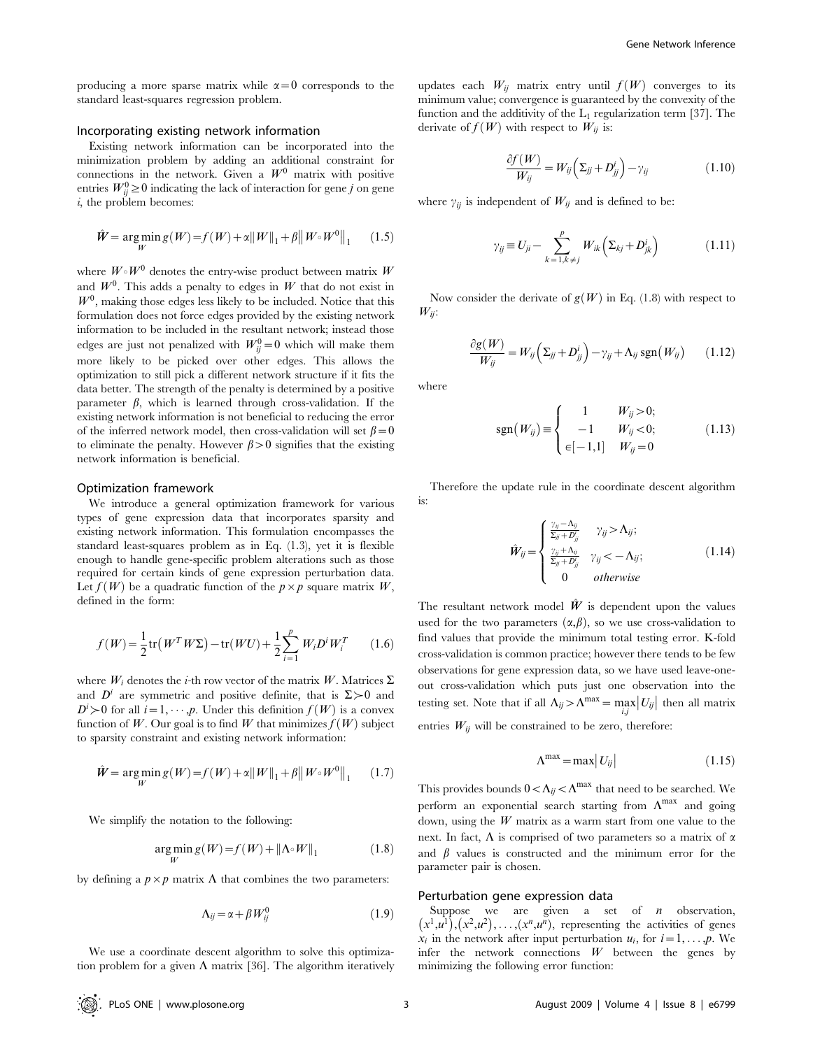producing a more sparse matrix while  $\alpha=0$  corresponds to the standard least-squares regression problem.

#### Incorporating existing network information

Existing network information can be incorporated into the minimization problem by adding an additional constraint for connections in the network. Given a  $W^0$  matrix with positive entries  $W_{ij}^0 \ge 0$  indicating the lack of interaction for gene j on gene  $i$ , the problem becomes:

$$
\hat{W} = \underset{W}{\arg\min} g(W) = f(W) + \alpha \|W\|_1 + \beta \|W \circ W^0\|_1 \qquad (1.5)
$$

where  $W \circ W^0$  denotes the entry-wise product between matrix W and  $W^0$ . This adds a penalty to edges in W that do not exist in  $W<sup>0</sup>$ , making those edges less likely to be included. Notice that this formulation does not force edges provided by the existing network information to be included in the resultant network; instead those edges are just not penalized with  $W_{ij}^0 = 0$  which will make them more likely to be picked over other edges. This allows the optimization to still pick a different network structure if it fits the data better. The strength of the penalty is determined by a positive parameter  $\beta$ , which is learned through cross-validation. If the existing network information is not beneficial to reducing the error of the inferred network model, then cross-validation will set  $\beta = 0$ to eliminate the penalty. However  $\beta > 0$  signifies that the existing network information is beneficial.

#### Optimization framework

We introduce a general optimization framework for various types of gene expression data that incorporates sparsity and existing network information. This formulation encompasses the standard least-squares problem as in Eq. (1.3), yet it is flexible enough to handle gene-specific problem alterations such as those required for certain kinds of gene expression perturbation data. Let  $f(W)$  be a quadratic function of the  $p \times p$  square matrix W, defined in the form:

$$
f(W) = \frac{1}{2} \text{tr}\left(W^T W \Sigma\right) - \text{tr}(WU) + \frac{1}{2} \sum_{i=1}^p W_i D^i W_i^T \qquad (1.6)
$$

where  $W_i$  denotes the *i*-th row vector of the matrix W. Matrices  $\Sigma$ and  $D^i$  are symmetric and positive definite, that is  $\Sigma > 0$  and  $D^i > 0$  for all  $i = 1, \dots, p$ . Under this definition  $f(W)$  is a convex function of W. Our goal is to find W that minimizes  $f(W)$  subject to sparsity constraint and existing network information:

$$
\hat{W} = \underset{W}{\arg\min} g(W) = f(W) + \alpha \|W\|_1 + \beta \|W \circ W^0\|_1 \qquad (1.7)
$$

We simplify the notation to the following:

$$
\underset{W}{\arg\min} \, g(W) = f(W) + ||\Lambda \circ W||_1 \tag{1.8}
$$

by defining a  $p \times p$  matrix  $\Lambda$  that combines the two parameters:

$$
\Lambda_{ij} = \alpha + \beta W_{ij}^0 \tag{1.9}
$$

We use a coordinate descent algorithm to solve this optimization problem for a given  $\Lambda$  matrix [36]. The algorithm iteratively updates each  $W_{ij}$  matrix entry until  $f(W)$  converges to its minimum value; convergence is guaranteed by the convexity of the function and the additivity of the  $L_1$  regularization term [37]. The derivate of  $f(W)$  with respect to  $W_{ii}$  is:

$$
\frac{\partial f(W)}{W_{ij}} = W_{ij} \left( \Sigma_{jj} + D_{jj}^i \right) - \gamma_{ij}
$$
\n(1.10)

where  $\gamma_{ij}$  is independent of  $W_{ij}$  and is defined to be:

$$
\gamma_{ij} \equiv U_{ji} - \sum_{k=1, k \neq j}^{p} W_{ik} \left( \Sigma_{kj} + D_{jk}^{i} \right) \tag{1.11}
$$

Now consider the derivate of  $g(W)$  in Eq. (1.8) with respect to  $W_{ij}$ :

$$
\frac{\partial g(W)}{W_{ij}} = W_{ij} \left( \Sigma_{jj} + D_{jj}^i \right) - \gamma_{ij} + \Lambda_{ij} \operatorname{sgn}(W_{ij}) \qquad (1.12)
$$

where

$$
sgn(W_{ij}) \equiv \begin{cases} 1 & W_{ij} > 0; \\ -1 & W_{ij} < 0; \\ \epsilon [-1,1] & W_{ij} = 0 \end{cases}
$$
 (1.13)

Therefore the update rule in the coordinate descent algorithm is:

$$
\hat{W}_{ij} = \begin{cases}\n\frac{\gamma_{ij} - \Lambda_{ij}}{\Sigma_{jj} + D'_{jj}} & \gamma_{ij} > \Lambda_{ij}; \\
\frac{\gamma_{ij} + \Lambda_{ij}}{\Sigma_{jj} + D'_{jj}} & \gamma_{ij} < -\Lambda_{ij}; \\
0 & otherwise\n\end{cases}
$$
\n(1.14)

The resultant network model  $\hat{W}$  is dependent upon the values used for the two parameters  $(\alpha, \beta)$ , so we use cross-validation to find values that provide the minimum total testing error. K-fold cross-validation is common practice; however there tends to be few observations for gene expression data, so we have used leave-oneout cross-validation which puts just one observation into the testing set. Note that if all  $\Lambda_{ij} > \Lambda^{\max} = \max_{i,j} |U_{ij}|$  then all matrix entries  $W_{ij}$  will be constrained to be zero, therefore:

$$
\Lambda^{\text{max}} = \max |U_{ij}| \tag{1.15}
$$

This provides bounds  $0<\Lambda_{ij}<\Lambda^{\max}$  that need to be searched. We perform an exponential search starting from  $\Lambda^{max}$  and going down, using the  $W$  matrix as a warm start from one value to the next. In fact,  $\Lambda$  is comprised of two parameters so a matrix of  $\alpha$ and  $\beta$  values is constructed and the minimum error for the parameter pair is chosen.

#### Perturbation gene expression data

Suppose we are given a set of  $n$  observation,  $(x<sup>1</sup>,u<sup>1</sup>), (x<sup>2</sup>,u<sup>2</sup>), \ldots, (x<sup>n</sup>,u<sup>n</sup>)$ , representing the activities of genes  $x_i$  in the network after input perturbation  $u_i$ , for  $i=1,\ldots,p$ . We infer the network connections  $W$  between the genes by minimizing the following error function: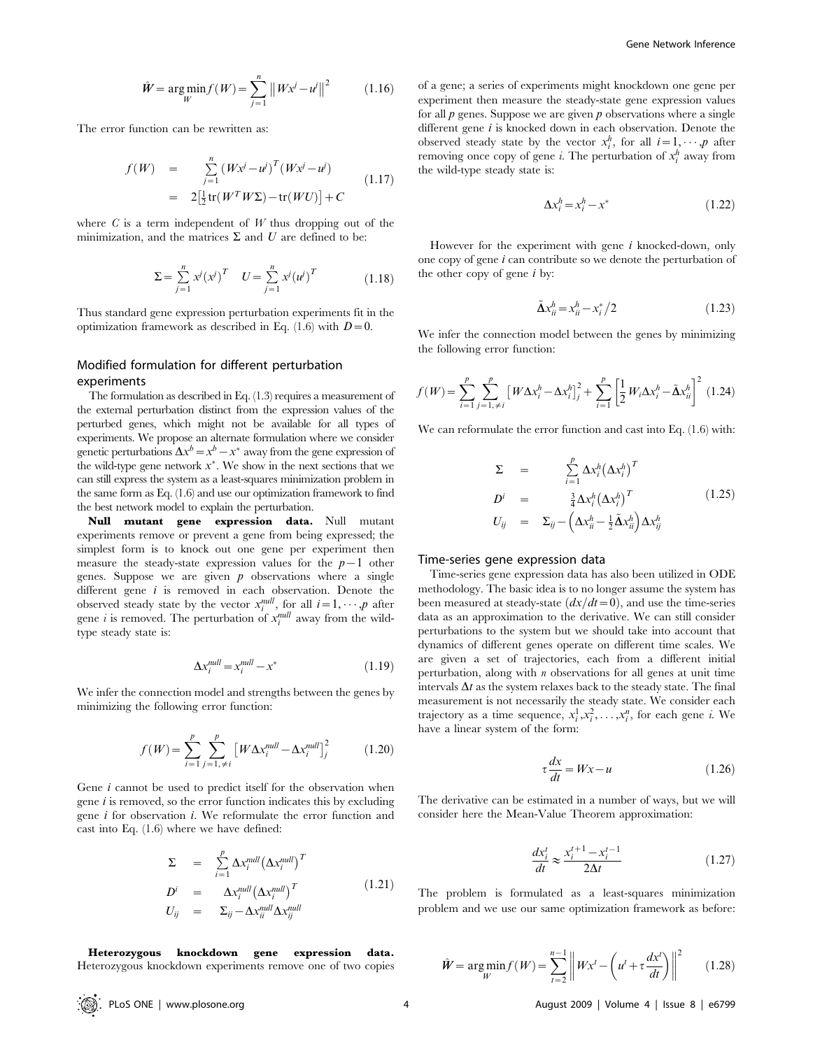$$
\hat{W} = \underset{W}{\text{arg min}} f(W) = \sum_{j=1}^{n} \|Wx^{j} - u^{j}\|^{2}
$$
 (1.16)

The error function can be rewritten as:

$$
f(W) = \sum_{j=1}^{n} (Wx^{j} - u^{j})^{T} (Wx^{j} - u^{j})
$$
  
=  $2\left[\frac{1}{2}\text{tr}(W^{T}W\Sigma) - \text{tr}(WU)\right] + C$  (1.17)

where  $C$  is a term independent of  $W$  thus dropping out of the minimization, and the matrices  $\Sigma$  and U are defined to be:

$$
\Sigma = \sum_{j=1}^{n} x^{j} (x^{j})^{T} \quad U = \sum_{j=1}^{n} x^{j} (u^{j})^{T}
$$
 (1.18)

Thus standard gene expression perturbation experiments fit in the optimization framework as described in Eq. (1.6) with  $D=0$ .

## Modified formulation for different perturbation experiments

The formulation as described in Eq. (1.3) requires a measurement of the external perturbation distinct from the expression values of the perturbed genes, which might not be available for all types of experiments. We propose an alternate formulation where we consider genetic perturbations  $\Delta x^b = x^b - x^*$  away from the gene expression of the wild-type gene network  $x^*$ . We show in the next sections that we can still express the system as a least-squares minimization problem in the same form as Eq. (1.6) and use our optimization framework to find the best network model to explain the perturbation.

Null mutant gene expression data. Null mutant experiments remove or prevent a gene from being expressed; the simplest form is to knock out one gene per experiment then measure the steady-state expression values for the  $p-1$  other genes. Suppose we are given  $p$  observations where a single different gene  $i$  is removed in each observation. Denote the observed steady state by the vector  $x_i^{null}$ , for all  $i=1, \dots, p$  after gene *i* is removed. The perturbation of  $x_i^{null}$  away from the wildtype steady state is:

$$
\Delta x_i^{null} = x_i^{null} - x^*
$$
\n(1.19)

We infer the connection model and strengths between the genes by minimizing the following error function:

$$
f(W) = \sum_{i=1}^{p} \sum_{j=1, \neq i}^{p} \left[ W \Delta x_i^{null} - \Delta x_i^{null} \right]_j^2 \tag{1.20}
$$

Gene *i* cannot be used to predict itself for the observation when gene  $i$  is removed, so the error function indicates this by excluding gene i for observation i. We reformulate the error function and cast into Eq. (1.6) where we have defined:

$$
\Sigma = \sum_{i=1}^{p} \Delta x_i^{null} (\Delta x_i^{null})^T
$$
  
\n
$$
D^i = \Delta x_i^{null} (\Delta x_i^{null})^T
$$
  
\n
$$
U_{ij} = \Sigma_{ij} - \Delta x_{ii}^{null} \Delta x_{ij}^{null}
$$
\n(1.21)

Heterozygous knockdown gene expression data. Heterozygous knockdown experiments remove one of two copies of a gene; a series of experiments might knockdown one gene per experiment then measure the steady-state gene expression values for all  $p$  genes. Suppose we are given  $p$  observations where a single different gene *i* is knocked down in each observation. Denote the observed steady state by the vector  $x_i^h$ , for all  $i=1, \dots, p$  after removing once copy of gene *i*. The perturbation of  $x_i^h$  away from the wild-type steady state is:

$$
\Delta x_i^h = x_i^h - x^*
$$
\n(1.22)

However for the experiment with gene  $i$  knocked-down, only one copy of gene i can contribute so we denote the perturbation of the other copy of gene  $i$  by:

$$
\tilde{\Delta} x_{ii}^h = x_{ii}^h - x_i^*/2
$$
\n(1.23)

We infer the connection model between the genes by minimizing the following error function:

$$
f(W) = \sum_{i=1}^{p} \sum_{j=1, \neq i}^{p} \left[ W \Delta x_i^h - \Delta x_i^h \right]_j^2 + \sum_{i=1}^{p} \left[ \frac{1}{2} W_i \Delta x_i^h - \tilde{\Delta} x_{ii}^h \right]^2 \tag{1.24}
$$

We can reformulate the error function and cast into Eq.  $(1.6)$  with:

$$
\Sigma = \sum_{i=1}^{p} \Delta x_i^h (\Delta x_i^h)^T
$$
  
\n
$$
D^i = \frac{3}{4} \Delta x_i^h (\Delta x_i^h)^T
$$
  
\n
$$
U_{ij} = \Sigma_{ij} - (\Delta x_{ii}^h - \frac{1}{2} \tilde{\Delta} x_{ii}^h) \Delta x_{ij}^h
$$
  
\n(1.25)

#### Time-series gene expression data

Time-series gene expression data has also been utilized in ODE methodology. The basic idea is to no longer assume the system has been measured at steady-state  $\left(\frac{dx}{dt}=0\right)$ , and use the time-series data as an approximation to the derivative. We can still consider perturbations to the system but we should take into account that dynamics of different genes operate on different time scales. We are given a set of trajectories, each from a different initial perturbation, along with  $n$  observations for all genes at unit time intervals  $\Delta t$  as the system relaxes back to the steady state. The final measurement is not necessarily the steady state. We consider each trajectory as a time sequence,  $x_i^1, x_i^2, \ldots, x_i^n$ , for each gene *i*. We have a linear system of the form:

$$
\tau \frac{dx}{dt} = Wx - u \tag{1.26}
$$

The derivative can be estimated in a number of ways, but we will consider here the Mean-Value Theorem approximation:

$$
\frac{dx_i^t}{dt} \approx \frac{x_i^{t+1} - x_i^{t-1}}{2\Delta t}
$$
\n(1.27)

The problem is formulated as a least-squares minimization problem and we use our same optimization framework as before:

$$
\hat{W} = \underset{W}{\arg\min} f(W) = \sum_{t=2}^{n-1} \left\| W x^t - \left( u^t + \tau \frac{dx^t}{dt} \right) \right\|^2 \qquad (1.28)
$$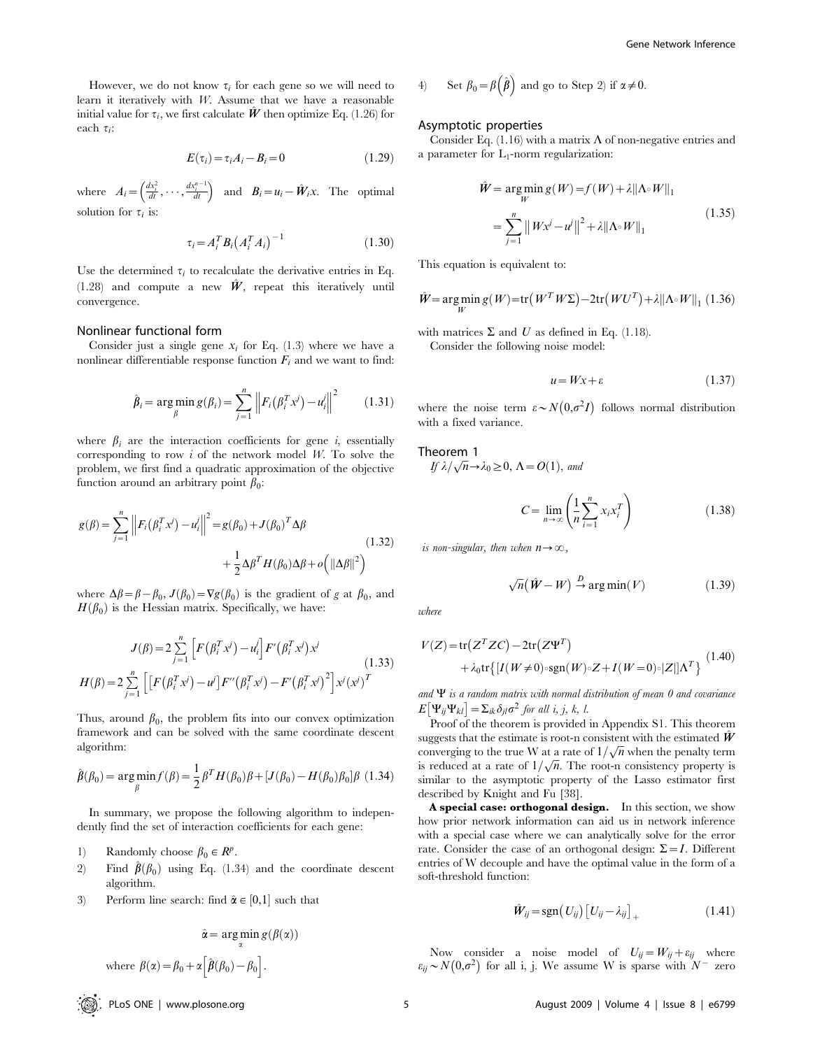However, we do not know  $\tau_i$  for each gene so we will need to learn it iteratively with W. Assume that we have a reasonable initial value for  $\tau_i$ , we first calculate  $\hat{W}$  then optimize Eq. (1.26) for each  $\tau$ :

$$
E(\tau_i) = \tau_i A_i - B_i = 0 \tag{1.29}
$$

where  $A_i = \left(\frac{dx_i^2}{dt}, \cdots, \frac{dx_i^{n-1}}{dt}\right)$  and  $B_i = u_i - \hat{W}_i x$ . The optimal solution for  $\tau_i$  is:

$$
\tau_i = A_i^T B_i (A_i^T A_i)^{-1}
$$
 (1.30)

Use the determined  $\tau_i$  to recalculate the derivative entries in Eq.  $(1.28)$  and compute a new  $\hat{W}$ , repeat this iteratively until convergence.

#### Nonlinear functional form

Consider just a single gene  $x_i$  for Eq. (1.3) where we have a nonlinear differentiable response function  $F_i$  and we want to find:

$$
\hat{\beta}_i = \arg\min_{\beta} g(\beta_i) = \sum_{j=1}^n \left\| F_i(\beta_i^T x^j) - u_i^j \right\|^2 \qquad (1.31)
$$

where  $\beta_i$  are the interaction coefficients for gene i, essentially corresponding to row  $i$  of the network model W. To solve the problem, we first find a quadratic approximation of the objective function around an arbitrary point  $\beta_0$ :

$$
g(\beta) = \sum_{j=1}^{n} \left\| F_i(\beta_i^T x^j) - u_i^j \right\|^2 = g(\beta_0) + J(\beta_0)^T \Delta \beta
$$
  
+ 
$$
\frac{1}{2} \Delta \beta^T H(\beta_0) \Delta \beta + o\left( \|\Delta \beta\|^2 \right)
$$
(1.32)

where  $\Delta\beta=\beta-\beta_0$ ,  $J(\beta_0)=\nabla g(\beta_0)$  is the gradient of g at  $\beta_0$ , and  $H(\beta_0)$  is the Hessian matrix. Specifically, we have:

$$
J(\beta) = 2 \sum_{j=1}^{n} \left[ F(\beta_i^T x^j) - u_i^j \right] F'(\beta_i^T x^j) x^j
$$
(1.33)  

$$
H(\beta) = 2 \sum_{j=1}^{n} \left[ \left[ F(\beta_i^T x^j) - u^j \right] F''(\beta_i^T x^j) - F'(\beta_i^T x^j)^2 \right] x^j (x^j)^T
$$

Thus, around  $\beta_0$ , the problem fits into our convex optimization framework and can be solved with the same coordinate descent algorithm:

$$
\hat{\beta}(\beta_0) = \arg\min_{\beta} f(\beta) = \frac{1}{2} \beta^T H(\beta_0) \beta + [J(\beta_0) - H(\beta_0)\beta_0] \beta \tag{1.34}
$$

In summary, we propose the following algorithm to independently find the set of interaction coefficients for each gene:

- 1) Randomly choose  $\beta_0 \in R^p$ .
- 2) Find  $\hat{\boldsymbol{\beta}}(\beta_0)$  using Eq. (1.34) and the coordinate descent algorithm.
- 3) Perform line search: find  $\hat{\alpha} \in [0,1]$  such that

$$
\hat{\alpha} = \arg\min_{\alpha} g(\beta(\alpha))
$$
  
where  $\beta(\alpha) = \beta_0 + \alpha \Big[ \hat{\beta}(\beta_0) - \beta_0 \Big].$ 

4) Set 
$$
\beta_0 = \beta(\hat{\beta})
$$
 and go to Step 2) if  $\alpha \neq 0$ .

#### Asymptotic properties

Consider Eq. (1.16) with a matrix  $\Lambda$  of non-negative entries and a parameter for  $L_1$ -norm regularization:

$$
\hat{W} = \underset{W}{\arg\min} g(W) = f(W) + \lambda ||\Lambda \circ W||_1
$$
\n
$$
= \sum_{j=1}^{n} ||Wx^{j} - u^{j}||^{2} + \lambda ||\Lambda \circ W||_1
$$
\n(1.35)

This equation is equivalent to:

$$
\hat{W} = \underset{W}{\arg\min} \, g(W) = \text{tr}\left(W^T W \Sigma\right) - 2 \text{tr}\left(W U^T\right) + \lambda \|\Lambda \circ W\|_1 \tag{1.36}
$$

with matrices  $\Sigma$  and U as defined in Eq. (1.18).

Consider the following noise model:

$$
u = Wx + \varepsilon \tag{1.37}
$$

where the noise term  $\varepsilon \sim N(0,\sigma^2I)$  follows normal distribution with a fixed variance.

#### Theorem 1

If  $\lambda/\sqrt{n} \rightarrow \lambda_0 \geq 0$ ,  $\Lambda = O(1)$ , and

$$
C = \lim_{n \to \infty} \left( \frac{1}{n} \sum_{i=1}^{n} x_i x_i^T \right) \tag{1.38}
$$

is non-singular, then when  $n \rightarrow \infty$ ,

$$
\sqrt{n}(\hat{W} - W) \xrightarrow{D} \arg\min(V) \tag{1.39}
$$

where

$$
V(Z) = \text{tr}(Z^T Z C) - 2 \text{tr}(Z \Psi^T)
$$
  
+  $\lambda_0 \text{tr}\{[I(W \neq 0) \circ \text{sgn}(W) \circ Z + I(W = 0) \circ |Z|] \Lambda^T\}$  (1.40)

and  $\Psi$  is a random matrix with normal distribution of mean 0 and covariance  $E[\Psi_{ij}\Psi_{kl}] = \sum_{ik}\delta_{jl}\sigma^2$  for all i, j, k, l.

Proof of the theorem is provided in Appendix S1. This theorem suggests that the estimate is root-n consistent with the estimated  $\hat{W}$ suggests that the estimate is root-in consistent with the estimated  $\boldsymbol{w}$  converging to the true W at a rate of  $1/\sqrt{n}$  when the penalty term converging to the true w at a rate of  $1/\sqrt{n}$  when the penaty term<br>is reduced at a rate of  $1/\sqrt{n}$ . The root-n consistency property is similar to the asymptotic property of the Lasso estimator first described by Knight and Fu [38].

A special case: orthogonal design. In this section, we show how prior network information can aid us in network inference with a special case where we can analytically solve for the error rate. Consider the case of an orthogonal design:  $\Sigma = I$ . Different entries of W decouple and have the optimal value in the form of a soft-threshold function:

$$
\hat{\boldsymbol{W}}_{ij} = \text{sgn}(U_{ij}) [U_{ij} - \lambda_{ij}]_{+}
$$
\n(1.41)

Now consider a noise model of  $U_{ij}=W_{ij}+\varepsilon_{ij}$  where From consider a holder of  $C_{ij} = N_{ij} + C_{ij}$  where  $\epsilon_{ij} \sim N(0,\sigma^2)$  for all i, j. We assume W is sparse with  $N^{-}$  zero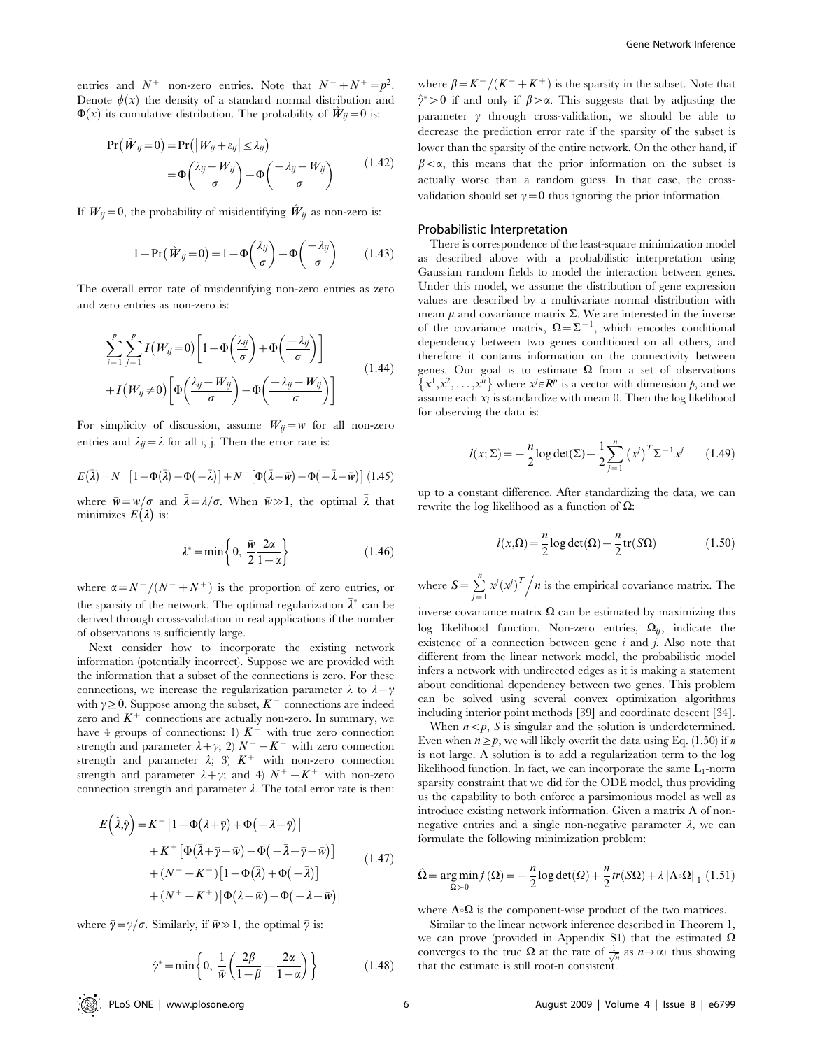entries and  $N^+$  non-zero entries. Note that  $N^- + N^+ = p^2$ . Denote  $\phi(x)$  the density of a standard normal distribution and  $\Phi(x)$  its cumulative distribution. The probability of  $\hat{W}_{ij}=0$  is:

$$
Pr(\hat{W}_{ij}=0) = Pr(|W_{ij} + \varepsilon_{ij}| \le \lambda_{ij})
$$
  
=  $\Phi\left(\frac{\lambda_{ij} - W_{ij}}{\sigma}\right) - \Phi\left(\frac{-\lambda_{ij} - W_{ij}}{\sigma}\right)$  (1.42)

If  $W_{ii}=0$ , the probability of misidentifying  $\hat{W}_{ii}$  as non-zero is:

$$
1 - \Pr(\hat{W}_{ij} = 0) = 1 - \Phi\left(\frac{\lambda_{ij}}{\sigma}\right) + \Phi\left(\frac{-\lambda_{ij}}{\sigma}\right) \tag{1.43}
$$

The overall error rate of misidentifying non-zero entries as zero and zero entries as non-zero is:

$$
\sum_{i=1}^{p} \sum_{j=1}^{p} I(W_{ij} = 0) \left[ 1 - \Phi\left(\frac{\lambda_{ij}}{\sigma}\right) + \Phi\left(\frac{-\lambda_{ij}}{\sigma}\right) \right] + I(W_{ij} \neq 0) \left[ \Phi\left(\frac{\lambda_{ij} - W_{ij}}{\sigma}\right) - \Phi\left(\frac{-\lambda_{ij} - W_{ij}}{\sigma}\right) \right]
$$
(1.44)

For simplicity of discussion, assume  $W_{ij}=w$  for all non-zero entries and  $\lambda_{ij} = \lambda$  for all i, j. Then the error rate is:

$$
E(\bar{\lambda}) = N^{-} \left[ 1 - \Phi(\bar{\lambda}) + \Phi(-\bar{\lambda}) \right] + N^{+} \left[ \Phi(\bar{\lambda} - \bar{w}) + \Phi(-\bar{\lambda} - \bar{w}) \right] (1.45)
$$

where  $\bar{w}=w/\sigma$  and  $\bar{\lambda}=\lambda/\sigma$ . When  $\bar{w}\gg1$ , the optimal  $\bar{\lambda}$  that where  $w = w/\sigma$  and<br>minimizes  $E(\bar{\lambda})$  is:

$$
\bar{\lambda}^* = \min\left\{0, \ \frac{\bar{w}}{2} \frac{2\alpha}{1-\alpha}\right\} \tag{1.46}
$$

where  $\alpha = N^{-}/(N^{-} + N^{+})$  is the proportion of zero entries, or the sparsity of the network. The optimal regularization  $\bar{\lambda}^*$  can be derived through cross-validation in real applications if the number of observations is sufficiently large.

Next consider how to incorporate the existing network information (potentially incorrect). Suppose we are provided with the information that a subset of the connections is zero. For these connections, we increase the regularization parameter  $\lambda$  to  $\lambda + \gamma$ with  $\gamma \geq 0$ . Suppose among the subset,  $K^{-}$  connections are indeed zero and  $K^+$  connections are actually non-zero. In summary, we have 4 groups of connections: 1)  $K^-$  with true zero connection strength and parameter  $\lambda + \gamma$ ; 2)  $N^{-} - K^{-}$  with zero connection strength and parameter  $\lambda$ ; 3)  $K^+$  with non-zero connection strength and parameter  $\lambda + \gamma$ ; and 4)  $N^{+} - K^{+}$  with non-zero connection strength and parameter  $\lambda$ . The total error rate is then:

$$
E(\hat{\lambda}, \hat{y}) = K^{-} [1 - \Phi(\bar{\lambda} + \bar{y}) + \Phi(-\bar{\lambda} - \bar{y})]
$$
  
+ K^{+} [\Phi(\bar{\lambda} + \bar{y} - \bar{w}) - \Phi(-\bar{\lambda} - \bar{y} - \bar{w})]  
+ (N^{-} - K^{-}) [1 - \Phi(\bar{\lambda}) + \Phi(-\bar{\lambda})]  
+ (N^{+} - K^{+}) [\Phi(\bar{\lambda} - \bar{w}) - \Phi(-\bar{\lambda} - \bar{w})] (1.47)

where  $\bar{\gamma} = \gamma/\sigma$ . Similarly, if  $\bar{w} \gg 1$ , the optimal  $\bar{\gamma}$  is:

$$
\hat{\gamma}^* = \min\left\{0, \frac{1}{\bar{w}}\left(\frac{2\beta}{1-\beta} - \frac{2\alpha}{1-\alpha}\right)\right\} \tag{1.48}
$$

where  $\beta = K^{-}/(K^{-}+K^{+})$  is the sparsity in the subset. Note that  $\hat{\gamma}^* > 0$  if and only if  $\beta > \alpha$ . This suggests that by adjusting the parameter  $\gamma$  through cross-validation, we should be able to decrease the prediction error rate if the sparsity of the subset is lower than the sparsity of the entire network. On the other hand, if  $\beta < \alpha$ , this means that the prior information on the subset is actually worse than a random guess. In that case, the crossvalidation should set  $\gamma=0$  thus ignoring the prior information.

#### Probabilistic Interpretation

There is correspondence of the least-square minimization model as described above with a probabilistic interpretation using Gaussian random fields to model the interaction between genes. Under this model, we assume the distribution of gene expression values are described by a multivariate normal distribution with mean  $\mu$  and covariance matrix  $\Sigma$ . We are interested in the inverse of the covariance matrix,  $\Omega = \Sigma^{-1}$ , which encodes conditional dependency between two genes conditioned on all others, and therefore it contains information on the connectivity between genes. Our goal is to estimate  $\Omega$  from a set of observations  ${x_1, x_2, \ldots, x_n}$  where  $x \in \mathbb{R}^p$  is a vector with dimension p, and we  ${x_1, x_2, \ldots, x_n}$ assume each  $x_i$  is standardize with mean 0. Then the log likelihood for observing the data is:

$$
l(x; \Sigma) = -\frac{n}{2} \log \det(\Sigma) - \frac{1}{2} \sum_{j=1}^{n} (x^{j})^{T} \Sigma^{-1} x^{j}
$$
 (1.49)

up to a constant difference. After standardizing the data, we can rewrite the log likelihood as a function of  $\Omega$ :

$$
l(x,\Omega) = \frac{n}{2}\log \det(\Omega) - \frac{n}{2}\operatorname{tr}(S\Omega)
$$
 (1.50)

where  $S = \sum_{j=1}^{n} x^{j} (x^{j})^{T} / n$  is the empirical covariance matrix. The

inverse covariance matrix  $\Omega$  can be estimated by maximizing this log likelihood function. Non-zero entries,  $\Omega_{ij}$ , indicate the existence of a connection between gene  $i$  and  $j$ . Also note that different from the linear network model, the probabilistic model infers a network with undirected edges as it is making a statement about conditional dependency between two genes. This problem can be solved using several convex optimization algorithms including interior point methods [39] and coordinate descent [34].

When  $n < p$ , S is singular and the solution is underdetermined. Even when  $n \geq p$ , we will likely overfit the data using Eq. (1.50) if n is not large. A solution is to add a regularization term to the log likelihood function. In fact, we can incorporate the same  $L_1$ -norm sparsity constraint that we did for the ODE model, thus providing us the capability to both enforce a parsimonious model as well as introduce existing network information. Given a matrix  $\Lambda$  of nonnegative entries and a single non-negative parameter  $\lambda$ , we can formulate the following minimization problem:

$$
\hat{\Omega} = \underset{\Omega > 0}{\arg \min} f(\Omega) = -\frac{n}{2} \log \det(\Omega) + \frac{n}{2} tr(S\Omega) + \lambda ||\Lambda \circ \Omega||_1 (1.51)
$$

where  $\Lambda \circ \Omega$  is the component-wise product of the two matrices.

Similar to the linear network inference described in Theorem 1, we can prove (provided in Appendix S1) that the estimated  $\Omega$ converges to the true  $\Omega$  at the rate of  $\frac{1}{\sqrt{n}}$  as  $n \to \infty$  thus showing that the estimate is still root-n consistent.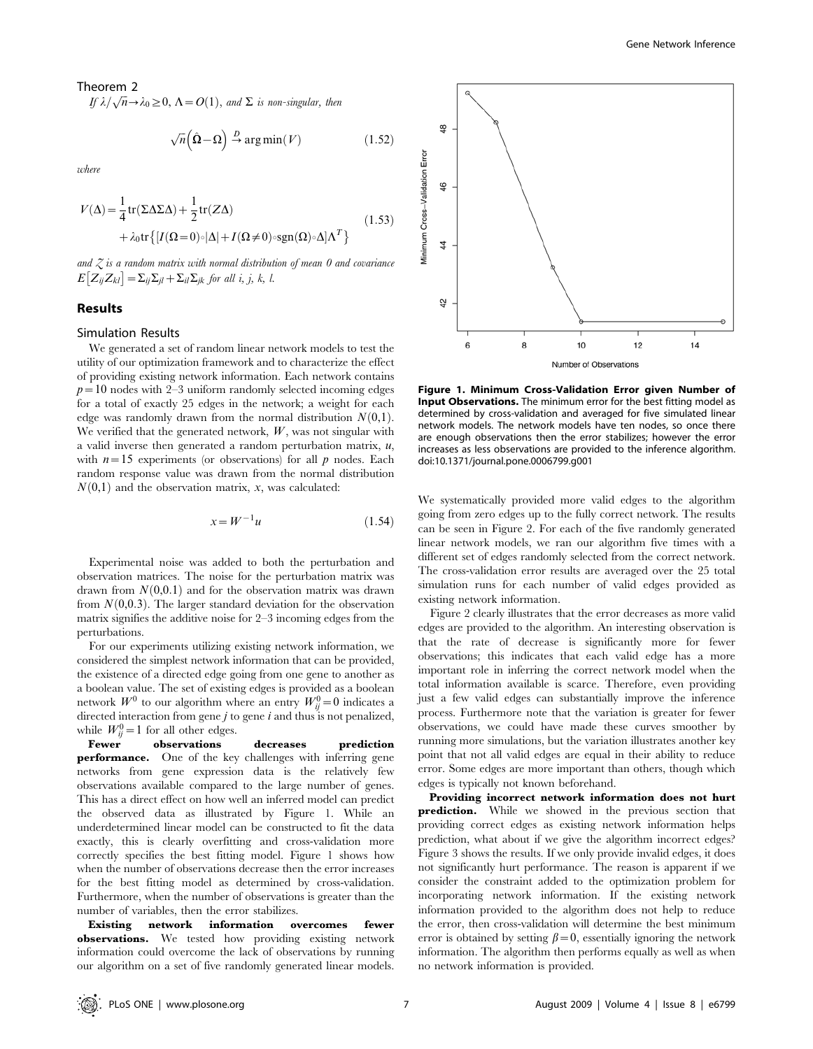Theorem 2

**If**  $\lambda/\sqrt{n} \rightarrow \lambda_0 \geq 0$ ,  $\Lambda = O(1)$ , and  $\Sigma$  is non-singular, then

$$
\sqrt{n}(\hat{\Omega} - \Omega) \xrightarrow{D} \arg\min(V) \tag{1.52}
$$

zorbere

$$
V(\Delta) = \frac{1}{4} \text{tr}(\Sigma \Delta \Sigma \Delta) + \frac{1}{2} \text{tr}(Z\Delta)
$$
  
+  $\lambda_0 \text{tr}\{ [I(\Omega = 0) \circ |\Delta| + I(\Omega \neq 0) \circ \text{sgn}(\Omega) \circ \Delta] \Lambda^T \}$  (1.53)

and  $Z$  is a random matrix with normal distribution of mean 0 and covariance  $E[Z_{ij}Z_{kl}] = \sum_{ij}\sum_{jl} + \sum_{il}\sum_{jk}$  for all i, j, k, l.

#### Results

### Simulation Results

We generated a set of random linear network models to test the utility of our optimization framework and to characterize the effect of providing existing network information. Each network contains  $p=10$  nodes with 2–3 uniform randomly selected incoming edges for a total of exactly 25 edges in the network; a weight for each edge was randomly drawn from the normal distribution  $N(0,1)$ . We verified that the generated network,  $W$ , was not singular with a valid inverse then generated a random perturbation matrix,  $u$ , with  $n=15$  experiments (or observations) for all p nodes. Each random response value was drawn from the normal distribution  $N(0,1)$  and the observation matrix, x, was calculated:

$$
x = W^{-1}u \tag{1.54}
$$

Experimental noise was added to both the perturbation and observation matrices. The noise for the perturbation matrix was drawn from  $N(0,0.1)$  and for the observation matrix was drawn from  $N(0,0.3)$ . The larger standard deviation for the observation matrix signifies the additive noise for 2–3 incoming edges from the perturbations.

For our experiments utilizing existing network information, we considered the simplest network information that can be provided, the existence of a directed edge going from one gene to another as a boolean value. The set of existing edges is provided as a boolean network  $W^0$  to our algorithm where an entry  $W_{ij}^0 = 0$  indicates a directed interaction from gene  $j$  to gene  $i$  and thus is not penalized, while  $W_{ij}^0 = 1$  for all other edges.

Fewer observations decreases prediction performance. One of the key challenges with inferring gene networks from gene expression data is the relatively few observations available compared to the large number of genes. This has a direct effect on how well an inferred model can predict the observed data as illustrated by Figure 1. While an underdetermined linear model can be constructed to fit the data exactly, this is clearly overfitting and cross-validation more correctly specifies the best fitting model. Figure 1 shows how when the number of observations decrease then the error increases for the best fitting model as determined by cross-validation. Furthermore, when the number of observations is greater than the number of variables, then the error stabilizes.

Existing network information overcomes fewer observations. We tested how providing existing network information could overcome the lack of observations by running our algorithm on a set of five randomly generated linear models.



Figure 1. Minimum Cross-Validation Error given Number of **Input Observations.** The minimum error for the best fitting model as determined by cross-validation and averaged for five simulated linear network models. The network models have ten nodes, so once there are enough observations then the error stabilizes; however the error increases as less observations are provided to the inference algorithm. doi:10.1371/journal.pone.0006799.g001

We systematically provided more valid edges to the algorithm going from zero edges up to the fully correct network. The results can be seen in Figure 2. For each of the five randomly generated linear network models, we ran our algorithm five times with a different set of edges randomly selected from the correct network. The cross-validation error results are averaged over the 25 total simulation runs for each number of valid edges provided as existing network information.

Figure 2 clearly illustrates that the error decreases as more valid edges are provided to the algorithm. An interesting observation is that the rate of decrease is significantly more for fewer observations; this indicates that each valid edge has a more important role in inferring the correct network model when the total information available is scarce. Therefore, even providing just a few valid edges can substantially improve the inference process. Furthermore note that the variation is greater for fewer observations, we could have made these curves smoother by running more simulations, but the variation illustrates another key point that not all valid edges are equal in their ability to reduce error. Some edges are more important than others, though which edges is typically not known beforehand.

Providing incorrect network information does not hurt prediction. While we showed in the previous section that providing correct edges as existing network information helps prediction, what about if we give the algorithm incorrect edges? Figure 3 shows the results. If we only provide invalid edges, it does not significantly hurt performance. The reason is apparent if we consider the constraint added to the optimization problem for incorporating network information. If the existing network information provided to the algorithm does not help to reduce the error, then cross-validation will determine the best minimum error is obtained by setting  $\beta = 0$ , essentially ignoring the network information. The algorithm then performs equally as well as when no network information is provided.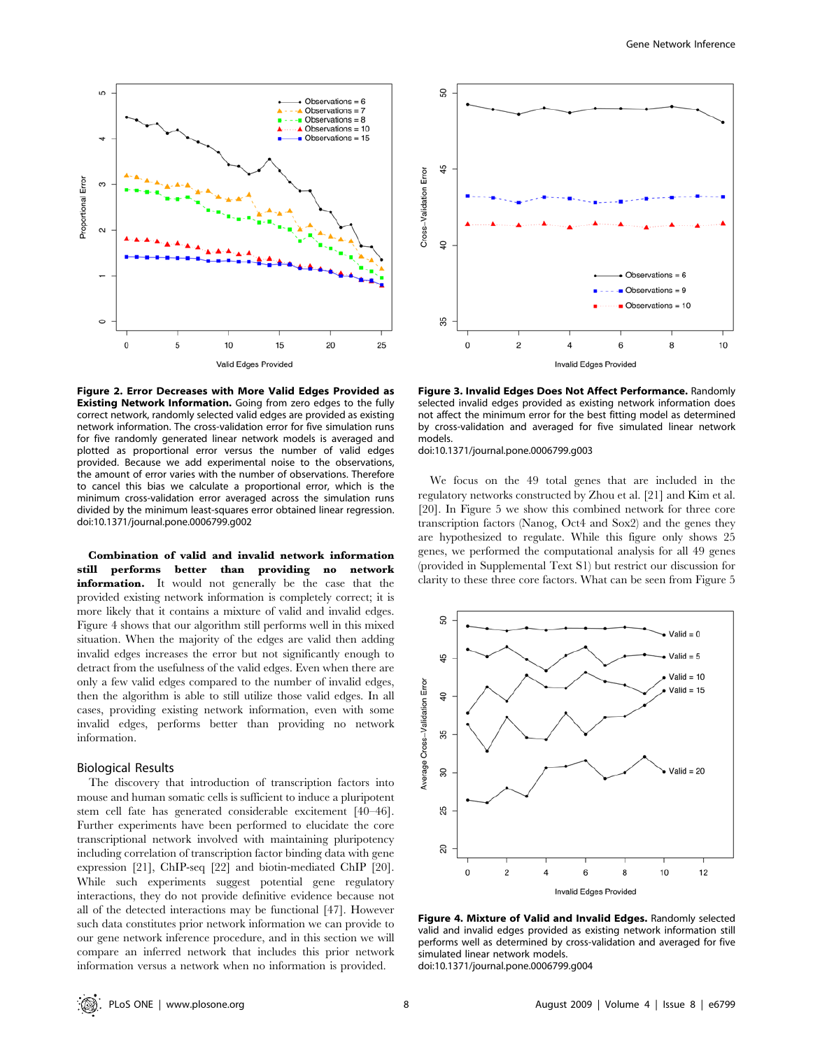

Figure 2. Error Decreases with More Valid Edges Provided as Existing Network Information. Going from zero edges to the fully correct network, randomly selected valid edges are provided as existing network information. The cross-validation error for five simulation runs for five randomly generated linear network models is averaged and plotted as proportional error versus the number of valid edges provided. Because we add experimental noise to the observations, the amount of error varies with the number of observations. Therefore to cancel this bias we calculate a proportional error, which is the minimum cross-validation error averaged across the simulation runs divided by the minimum least-squares error obtained linear regression. doi:10.1371/journal.pone.0006799.g002

Combination of valid and invalid network information still performs better than providing no network information. It would not generally be the case that the provided existing network information is completely correct; it is more likely that it contains a mixture of valid and invalid edges. Figure 4 shows that our algorithm still performs well in this mixed situation. When the majority of the edges are valid then adding invalid edges increases the error but not significantly enough to detract from the usefulness of the valid edges. Even when there are only a few valid edges compared to the number of invalid edges, then the algorithm is able to still utilize those valid edges. In all cases, providing existing network information, even with some invalid edges, performs better than providing no network information.

#### Biological Results

The discovery that introduction of transcription factors into mouse and human somatic cells is sufficient to induce a pluripotent stem cell fate has generated considerable excitement [40–46]. Further experiments have been performed to elucidate the core transcriptional network involved with maintaining pluripotency including correlation of transcription factor binding data with gene expression [21], ChIP-seq [22] and biotin-mediated ChIP [20]. While such experiments suggest potential gene regulatory interactions, they do not provide definitive evidence because not all of the detected interactions may be functional [47]. However such data constitutes prior network information we can provide to our gene network inference procedure, and in this section we will compare an inferred network that includes this prior network information versus a network when no information is provided.



Figure 3. Invalid Edges Does Not Affect Performance. Randomly selected invalid edges provided as existing network information does not affect the minimum error for the best fitting model as determined by cross-validation and averaged for five simulated linear network models.

doi:10.1371/journal.pone.0006799.g003

We focus on the 49 total genes that are included in the regulatory networks constructed by Zhou et al. [21] and Kim et al. [20]. In Figure 5 we show this combined network for three core transcription factors (Nanog, Oct4 and Sox2) and the genes they are hypothesized to regulate. While this figure only shows 25 genes, we performed the computational analysis for all 49 genes (provided in Supplemental Text S1) but restrict our discussion for clarity to these three core factors. What can be seen from Figure 5



Figure 4. Mixture of Valid and Invalid Edges. Randomly selected valid and invalid edges provided as existing network information still performs well as determined by cross-validation and averaged for five simulated linear network models.

doi:10.1371/journal.pone.0006799.g004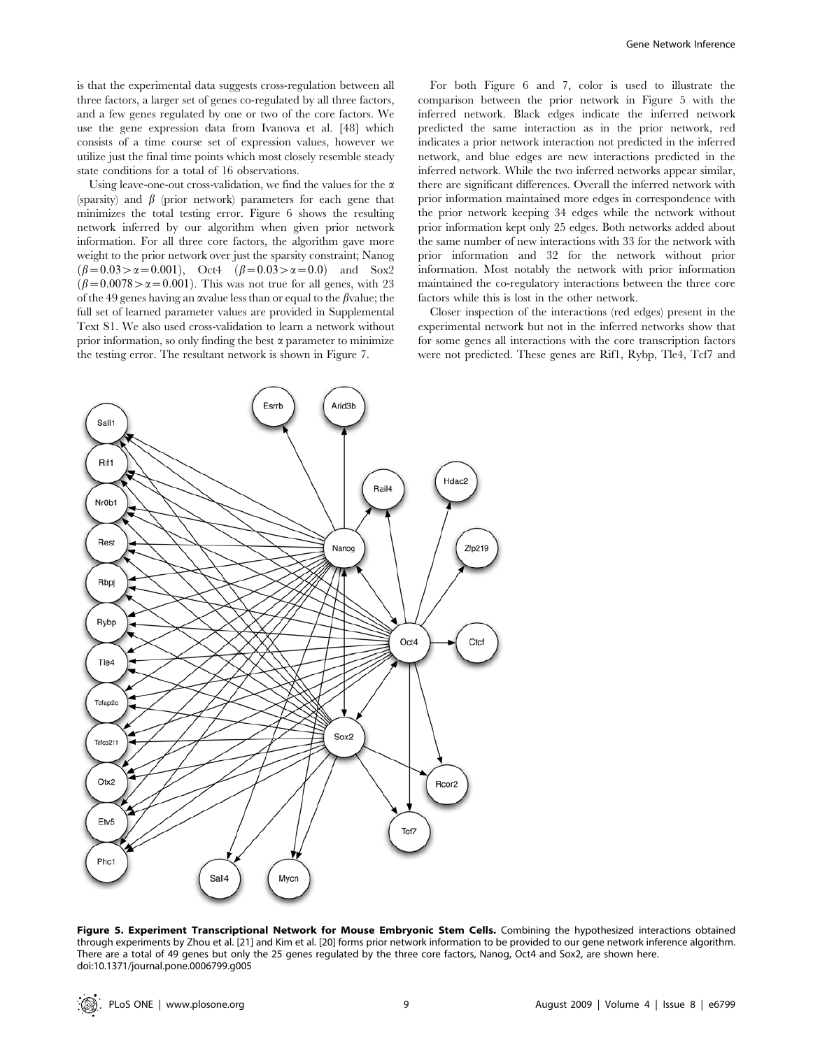is that the experimental data suggests cross-regulation between all three factors, a larger set of genes co-regulated by all three factors, and a few genes regulated by one or two of the core factors. We use the gene expression data from Ivanova et al. [48] which consists of a time course set of expression values, however we utilize just the final time points which most closely resemble steady state conditions for a total of 16 observations.

Using leave-one-out cross-validation, we find the values for the  $\alpha$ (sparsity) and  $\beta$  (prior network) parameters for each gene that minimizes the total testing error. Figure 6 shows the resulting network inferred by our algorithm when given prior network information. For all three core factors, the algorithm gave more weight to the prior network over just the sparsity constraint; Nanog  $(\beta = 0.03 > \alpha = 0.001)$ , Oct4  $(\beta = 0.03 > \alpha = 0.0)$  and Sox2  $\beta = 0.0078 > \alpha = 0.001$ . This was not true for all genes, with 23 of the 49 genes having an avalue less than or equal to the  $\beta$ value; the full set of learned parameter values are provided in Supplemental Text S1. We also used cross-validation to learn a network without prior information, so only finding the best  $\alpha$  parameter to minimize the testing error. The resultant network is shown in Figure 7.

For both Figure 6 and 7, color is used to illustrate the comparison between the prior network in Figure 5 with the inferred network. Black edges indicate the inferred network predicted the same interaction as in the prior network, red indicates a prior network interaction not predicted in the inferred network, and blue edges are new interactions predicted in the inferred network. While the two inferred networks appear similar, there are significant differences. Overall the inferred network with prior information maintained more edges in correspondence with the prior network keeping 34 edges while the network without prior information kept only 25 edges. Both networks added about the same number of new interactions with 33 for the network with prior information and 32 for the network without prior information. Most notably the network with prior information maintained the co-regulatory interactions between the three core factors while this is lost in the other network.

Closer inspection of the interactions (red edges) present in the experimental network but not in the inferred networks show that for some genes all interactions with the core transcription factors were not predicted. These genes are Rif1, Rybp, Tle4, Tcf7 and



Figure 5. Experiment Transcriptional Network for Mouse Embryonic Stem Cells. Combining the hypothesized interactions obtained through experiments by Zhou et al. [21] and Kim et al. [20] forms prior network information to be provided to our gene network inference algorithm. There are a total of 49 genes but only the 25 genes regulated by the three core factors, Nanog, Oct4 and Sox2, are shown here. doi:10.1371/journal.pone.0006799.g005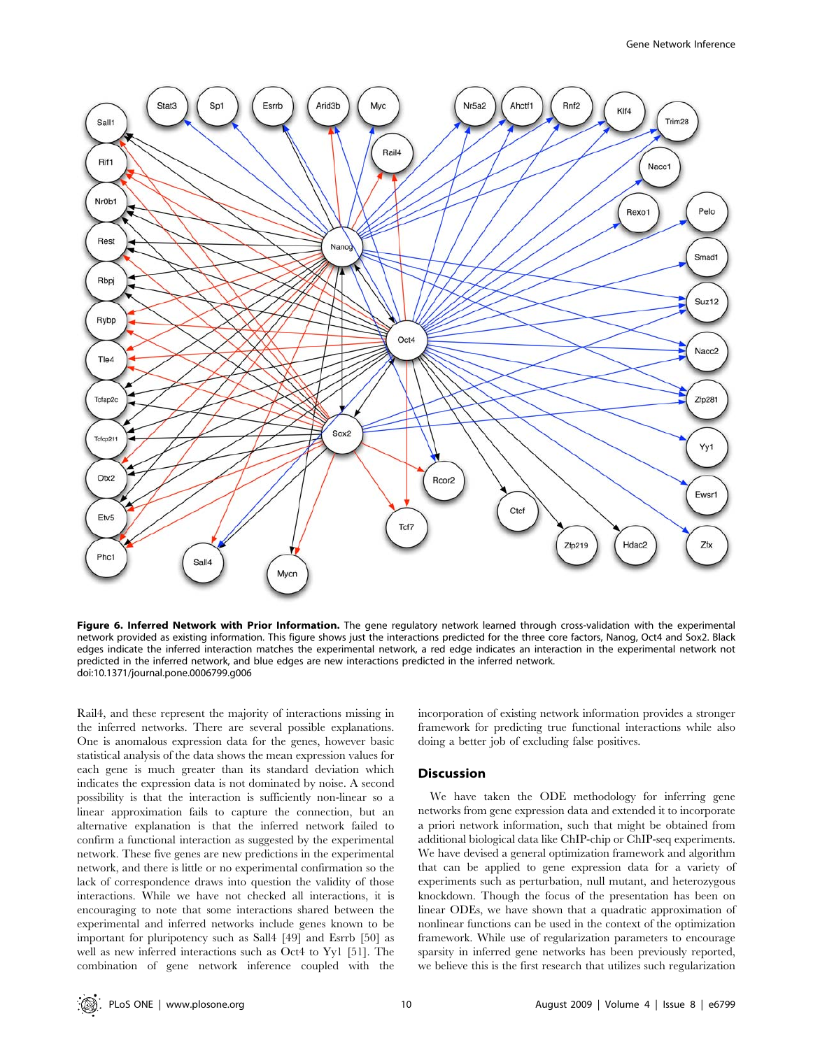

Figure 6. Inferred Network with Prior Information. The gene regulatory network learned through cross-validation with the experimental network provided as existing information. This figure shows just the interactions predicted for the three core factors, Nanog, Oct4 and Sox2. Black edges indicate the inferred interaction matches the experimental network, a red edge indicates an interaction in the experimental network not predicted in the inferred network, and blue edges are new interactions predicted in the inferred network. doi:10.1371/journal.pone.0006799.g006

Rail4, and these represent the majority of interactions missing in the inferred networks. There are several possible explanations. One is anomalous expression data for the genes, however basic statistical analysis of the data shows the mean expression values for each gene is much greater than its standard deviation which indicates the expression data is not dominated by noise. A second possibility is that the interaction is sufficiently non-linear so a linear approximation fails to capture the connection, but an alternative explanation is that the inferred network failed to confirm a functional interaction as suggested by the experimental network. These five genes are new predictions in the experimental network, and there is little or no experimental confirmation so the lack of correspondence draws into question the validity of those interactions. While we have not checked all interactions, it is encouraging to note that some interactions shared between the experimental and inferred networks include genes known to be important for pluripotency such as Sall4 [49] and Esrrb [50] as well as new inferred interactions such as Oct4 to Yy1 [51]. The combination of gene network inference coupled with the

incorporation of existing network information provides a stronger framework for predicting true functional interactions while also doing a better job of excluding false positives.

#### Discussion

We have taken the ODE methodology for inferring gene networks from gene expression data and extended it to incorporate a priori network information, such that might be obtained from additional biological data like ChIP-chip or ChIP-seq experiments. We have devised a general optimization framework and algorithm that can be applied to gene expression data for a variety of experiments such as perturbation, null mutant, and heterozygous knockdown. Though the focus of the presentation has been on linear ODEs, we have shown that a quadratic approximation of nonlinear functions can be used in the context of the optimization framework. While use of regularization parameters to encourage sparsity in inferred gene networks has been previously reported, we believe this is the first research that utilizes such regularization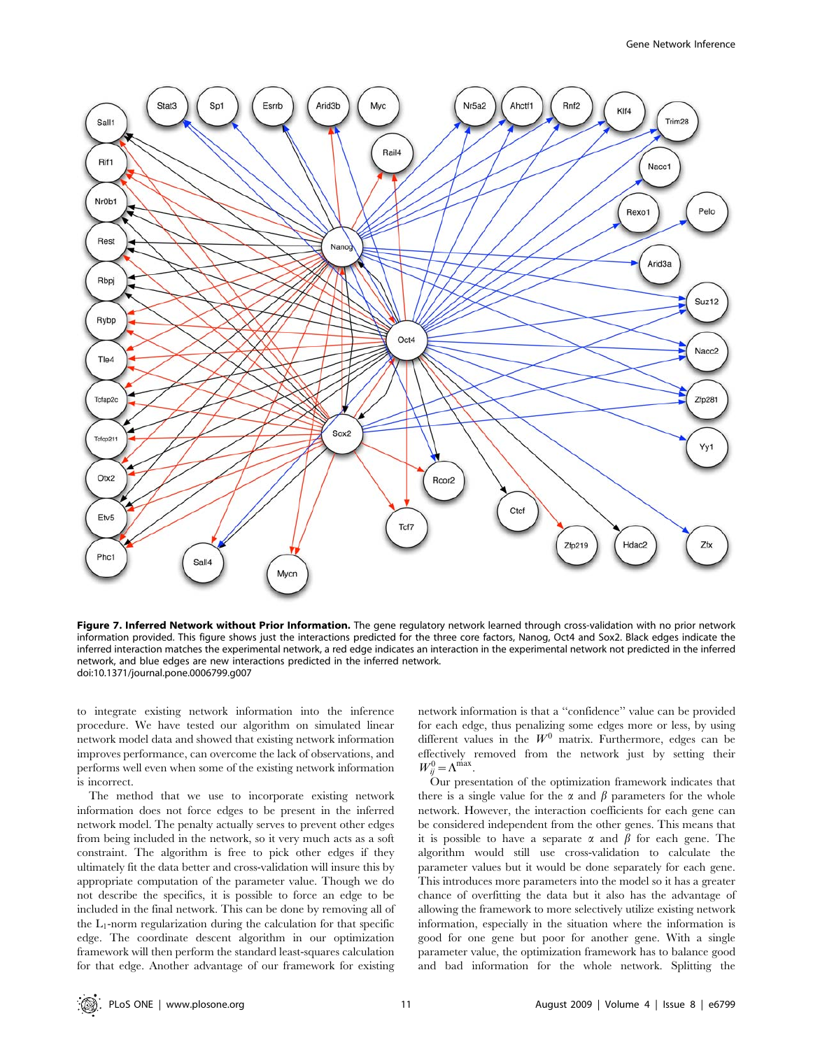

Figure 7. Inferred Network without Prior Information. The gene regulatory network learned through cross-validation with no prior network information provided. This figure shows just the interactions predicted for the three core factors, Nanog, Oct4 and Sox2. Black edges indicate the inferred interaction matches the experimental network, a red edge indicates an interaction in the experimental network not predicted in the inferred network, and blue edges are new interactions predicted in the inferred network. doi:10.1371/journal.pone.0006799.g007

to integrate existing network information into the inference procedure. We have tested our algorithm on simulated linear network model data and showed that existing network information improves performance, can overcome the lack of observations, and performs well even when some of the existing network information is incorrect.

The method that we use to incorporate existing network information does not force edges to be present in the inferred network model. The penalty actually serves to prevent other edges from being included in the network, so it very much acts as a soft constraint. The algorithm is free to pick other edges if they ultimately fit the data better and cross-validation will insure this by appropriate computation of the parameter value. Though we do not describe the specifics, it is possible to force an edge to be included in the final network. This can be done by removing all of the  $L_1$ -norm regularization during the calculation for that specific edge. The coordinate descent algorithm in our optimization framework will then perform the standard least-squares calculation for that edge. Another advantage of our framework for existing network information is that a ''confidence'' value can be provided for each edge, thus penalizing some edges more or less, by using different values in the  $W^0$  matrix. Furthermore, edges can be effectively removed from the network just by setting their  $W_{ij}^0 = \Lambda^{\text{max}}$ .

Our presentation of the optimization framework indicates that there is a single value for the  $\alpha$  and  $\beta$  parameters for the whole network. However, the interaction coefficients for each gene can be considered independent from the other genes. This means that it is possible to have a separate  $\alpha$  and  $\beta$  for each gene. The algorithm would still use cross-validation to calculate the parameter values but it would be done separately for each gene. This introduces more parameters into the model so it has a greater chance of overfitting the data but it also has the advantage of allowing the framework to more selectively utilize existing network information, especially in the situation where the information is good for one gene but poor for another gene. With a single parameter value, the optimization framework has to balance good and bad information for the whole network. Splitting the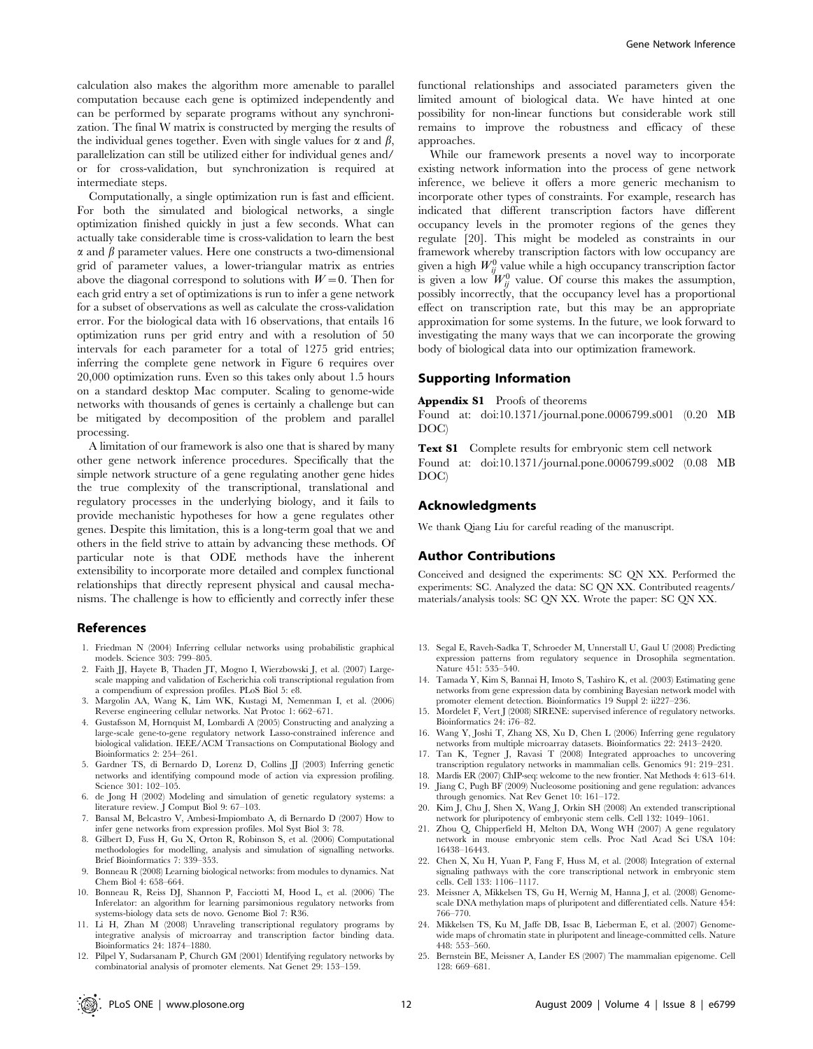calculation also makes the algorithm more amenable to parallel computation because each gene is optimized independently and can be performed by separate programs without any synchronization. The final W matrix is constructed by merging the results of the individual genes together. Even with single values for  $\alpha$  and  $\beta$ , parallelization can still be utilized either for individual genes and/ or for cross-validation, but synchronization is required at intermediate steps.

Computationally, a single optimization run is fast and efficient. For both the simulated and biological networks, a single optimization finished quickly in just a few seconds. What can actually take considerable time is cross-validation to learn the best  $\alpha$  and  $\beta$  parameter values. Here one constructs a two-dimensional grid of parameter values, a lower-triangular matrix as entries above the diagonal correspond to solutions with  $W=0$ . Then for each grid entry a set of optimizations is run to infer a gene network for a subset of observations as well as calculate the cross-validation error. For the biological data with 16 observations, that entails 16 optimization runs per grid entry and with a resolution of 50 intervals for each parameter for a total of 1275 grid entries; inferring the complete gene network in Figure 6 requires over 20,000 optimization runs. Even so this takes only about 1.5 hours on a standard desktop Mac computer. Scaling to genome-wide networks with thousands of genes is certainly a challenge but can be mitigated by decomposition of the problem and parallel processing.

A limitation of our framework is also one that is shared by many other gene network inference procedures. Specifically that the simple network structure of a gene regulating another gene hides the true complexity of the transcriptional, translational and regulatory processes in the underlying biology, and it fails to provide mechanistic hypotheses for how a gene regulates other genes. Despite this limitation, this is a long-term goal that we and others in the field strive to attain by advancing these methods. Of particular note is that ODE methods have the inherent extensibility to incorporate more detailed and complex functional relationships that directly represent physical and causal mechanisms. The challenge is how to efficiently and correctly infer these

#### References

- 1. Friedman N (2004) Inferring cellular networks using probabilistic graphical models. Science 303: 799–805.
- 2. Faith JJ, Hayete B, Thaden JT, Mogno I, Wierzbowski J, et al. (2007) Largescale mapping and validation of Escherichia coli transcriptional regulation from a compendium of expression profiles. PLoS Biol 5: e8.
- 3. Margolin AA, Wang K, Lim WK, Kustagi M, Nemenman I, et al. (2006) Reverse engineering cellular networks. Nat Protoc 1: 662–671.
- 4. Gustafsson M, Hornquist M, Lombardi A (2005) Constructing and analyzing a large-scale gene-to-gene regulatory network Lasso-constrained inference and biological validation. IEEE/ACM Transactions on Computational Biology and Bioinformatics 2: 254–261.
- 5. Gardner TS, di Bernardo D, Lorenz D, Collins JJ (2003) Inferring genetic networks and identifying compound mode of action via expression profiling. Science 301: 102–105.
- 6. de Jong H (2002) Modeling and simulation of genetic regulatory systems: a literature review. J Comput Biol 9: 67–103.
- 7. Bansal M, Belcastro V, Ambesi-Impiombato A, di Bernardo D (2007) How to infer gene networks from expression profiles. Mol Syst Biol 3: 78.
- 8. Gilbert D, Fuss H, Gu X, Orton R, Robinson S, et al. (2006) Computational methodologies for modelling, analysis and simulation of signalling networks. Brief Bioinformatics 7: 339–353.
- 9. Bonneau R (2008) Learning biological networks: from modules to dynamics. Nat Chem Biol 4: 658–664.
- 10. Bonneau R, Reiss DJ, Shannon P, Facciotti M, Hood L, et al. (2006) The Inferelator: an algorithm for learning parsimonious regulatory networks from systems-biology data sets de novo. Genome Biol 7: R36.
- 11. Li H, Zhan M (2008) Unraveling transcriptional regulatory programs by integrative analysis of microarray and transcription factor binding data. Bioinformatics 24: 1874–1880.
	-

Gene Network Inference

functional relationships and associated parameters given the limited amount of biological data. We have hinted at one possibility for non-linear functions but considerable work still remains to improve the robustness and efficacy of these approaches.

While our framework presents a novel way to incorporate existing network information into the process of gene network inference, we believe it offers a more generic mechanism to incorporate other types of constraints. For example, research has indicated that different transcription factors have different occupancy levels in the promoter regions of the genes they regulate [20]. This might be modeled as constraints in our framework whereby transcription factors with low occupancy are given a high  $W_{ij}^0$  value while a high occupancy transcription factor is given a low  $W_{ij}^0$  value. Of course this makes the assumption, possibly incorrectly, that the occupancy level has a proportional effect on transcription rate, but this may be an appropriate approximation for some systems. In the future, we look forward to investigating the many ways that we can incorporate the growing body of biological data into our optimization framework.

#### Supporting Information

Appendix S1 Proofs of theorems

Found at: doi:10.1371/journal.pone.0006799.s001 (0.20 MB DOC)

Text S1 Complete results for embryonic stem cell network Found at: doi:10.1371/journal.pone.0006799.s002 (0.08 MB DOC)

#### Acknowledgments

We thank Qiang Liu for careful reading of the manuscript.

## Author Contributions

Conceived and designed the experiments: SC QN XX. Performed the experiments: SC. Analyzed the data: SC QN XX. Contributed reagents/ materials/analysis tools: SC QN XX. Wrote the paper: SC QN XX.

- 13. Segal E, Raveh-Sadka T, Schroeder M, Unnerstall U, Gaul U (2008) Predicting expression patterns from regulatory sequence in Drosophila segmentation. Nature 451: 535–540.
- 14. Tamada Y, Kim S, Bannai H, Imoto S, Tashiro K, et al. (2003) Estimating gene networks from gene expression data by combining Bayesian network model with promoter element detection. Bioinformatics 19 Suppl 2: ii227–236.
- 15. Mordelet F, Vert J (2008) SIRENE: supervised inference of regulatory networks. Bioinformatics 24: i76–82.
- 16. Wang Y, Joshi T, Zhang XS, Xu D, Chen L (2006) Inferring gene regulatory networks from multiple microarray datasets. Bioinformatics 22: 2413–2420.
- 17. Tan K, Tegner J, Ravasi T (2008) Integrated approaches to uncovering transcription regulatory networks in mammalian cells. Genomics 91: 219–231.
- 18. Mardis ER (2007) ChIP-seq: welcome to the new frontier. Nat Methods 4: 613–614.
- 19. Jiang C, Pugh BF (2009) Nucleosome positioning and gene regulation: advances through genomics. Nat Rev Genet 10: 161–172.
- 20. Kim J, Chu J, Shen X, Wang J, Orkin SH (2008) An extended transcriptional network for pluripotency of embryonic stem cells. Cell 132: 1049–1061.
- 21. Zhou Q, Chipperfield H, Melton DA, Wong WH (2007) A gene regulatory network in mouse embryonic stem cells. Proc Natl Acad Sci USA 104: 16438–16443.
- 22. Chen X, Xu H, Yuan P, Fang F, Huss M, et al. (2008) Integration of external signaling pathways with the core transcriptional network in embryonic stem cells. Cell 133: 1106–1117.
- 23. Meissner A, Mikkelsen TS, Gu H, Wernig M, Hanna J, et al. (2008) Genomescale DNA methylation maps of pluripotent and differentiated cells. Nature 454: 766–770.
- 24. Mikkelsen TS, Ku M, Jaffe DB, Issac B, Lieberman E, et al. (2007) Genomewide maps of chromatin state in pluripotent and lineage-committed cells. Nature 448: 553–560.
- 12. Pilpel Y, Sudarsanam P, Church GM (2001) Identifying regulatory networks by combinatorial analysis of promoter elements. Nat Genet 29: 153–159.
- 25. Bernstein BE, Meissner A, Lander ES (2007) The mammalian epigenome. Cell 128: 669–681.